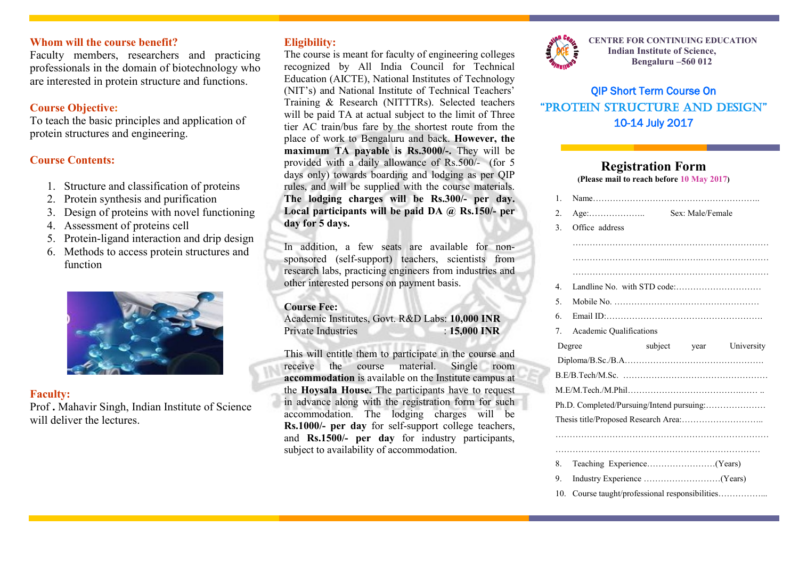### **Whom will the course benefit?**

Faculty members, researchers and practicing professionals in the domain of biotechnology who are interested in protein structure and functions.

## **Course Objective:**

To teach the basic principles and application of protein structures and engineering.

## **Course Contents:**

- 1. Structure and classification of proteins
- 2. Protein synthesis and purification
- 3. Design of proteins with novel functioning
- 4. Assessment of proteins cell
- 5. Protein-ligand interaction and drip design
- 6. Methods to access protein structures and function



## **Faculty:**

Prof **.** Mahavir Singh, Indian Institute of Science will deliver the lectures.

## **Eligibility:**

The course is meant for faculty of engineering colleges recognized by All India Council for Technical Education (AICTE), National Institutes of Technology (NIT's) and National Institute of Technical Teachers' Training & Research (NITTTRs). Selected teachers will be paid TA at actual subject to the limit of Three tier AC train/bus fare by the shortest route from the place of work to Bengaluru and back. **However, the maximum TA payable is Rs.3000/-.** They will be provided with a daily allowance of Rs.500/- (for 5 days only) towards boarding and lodging as per QIP rules, and will be supplied with the course materials. **The lodging charges will be Rs.300/- per day. Local participants will be paid DA @ Rs.150/- per day for 5 days.**

In addition, a few seats are available for nonsponsored (self-support) teachers, scientists from research labs, practicing engineers from industries and other interested persons on payment basis.

#### **Course Fee:**

Academic Institutes, Govt. R&D Labs: **10,000 INR** Private Industries : **15,000 INR**

This will entitle them to participate in the course and receive the course material. Single room **accommodation** is available on the Institute campus at the **Hoysala House.** The participants have to request in advance along with the registration form for such accommodation. The lodging charges will be **Rs.1000/- per day** for self-support college teachers, and **Rs.1500/- per day** for industry participants, subject to availability of accommodation.



**CENTRE FOR CONTINUING EDUCATION Indian Institute of Science, Bengaluru –560 012**

# QIP Short Term Course On "PROTEIN STRUCTURE AND DESIGN" 10-14 July 2017

## **Registration Form**

**(Please mail to reach before 10 May 2017)**

|  | $\mathbf{1}$ .                            |                                             |  |              |            |  |
|--|-------------------------------------------|---------------------------------------------|--|--------------|------------|--|
|  | 2.                                        |                                             |  |              |            |  |
|  | 3.                                        | Office address                              |  |              |            |  |
|  |                                           |                                             |  |              |            |  |
|  |                                           |                                             |  |              |            |  |
|  |                                           |                                             |  |              |            |  |
|  | 4                                         |                                             |  |              |            |  |
|  | 5.                                        |                                             |  |              |            |  |
|  | 6.                                        |                                             |  |              |            |  |
|  | 7.                                        | <b>Academic Qualifications</b>              |  |              |            |  |
|  | Degree                                    |                                             |  | subject year | University |  |
|  |                                           |                                             |  |              |            |  |
|  |                                           |                                             |  |              |            |  |
|  |                                           |                                             |  |              |            |  |
|  | Ph.D. Completed/Pursuing/Intend pursuing: |                                             |  |              |            |  |
|  |                                           |                                             |  |              |            |  |
|  |                                           |                                             |  |              |            |  |
|  |                                           |                                             |  |              |            |  |
|  | 8.                                        |                                             |  |              |            |  |
|  | 9.                                        |                                             |  |              |            |  |
|  | 10 <sub>1</sub>                           | Course taught/professional responsibilities |  |              |            |  |